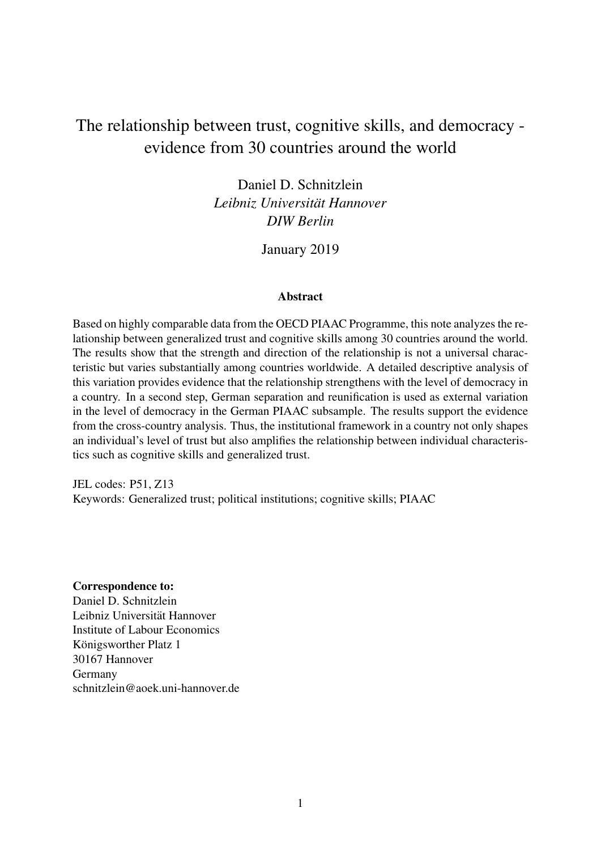# The relationship between trust, cognitive skills, and democracy evidence from 30 countries around the world

Daniel D. Schnitzlein *Leibniz Universitat Hannover ¨ DIW Berlin*

January 2019

## Abstract

Based on highly comparable data from the OECD PIAAC Programme, this note analyzes the relationship between generalized trust and cognitive skills among 30 countries around the world. The results show that the strength and direction of the relationship is not a universal characteristic but varies substantially among countries worldwide. A detailed descriptive analysis of this variation provides evidence that the relationship strengthens with the level of democracy in a country. In a second step, German separation and reunification is used as external variation in the level of democracy in the German PIAAC subsample. The results support the evidence from the cross-country analysis. Thus, the institutional framework in a country not only shapes an individual's level of trust but also amplifies the relationship between individual characteristics such as cognitive skills and generalized trust.

JEL codes: P51, Z13 Keywords: Generalized trust; political institutions; cognitive skills; PIAAC

Correspondence to:

Daniel D. Schnitzlein Leibniz Universität Hannover Institute of Labour Economics Königsworther Platz 1 30167 Hannover Germany schnitzlein@aoek.uni-hannover.de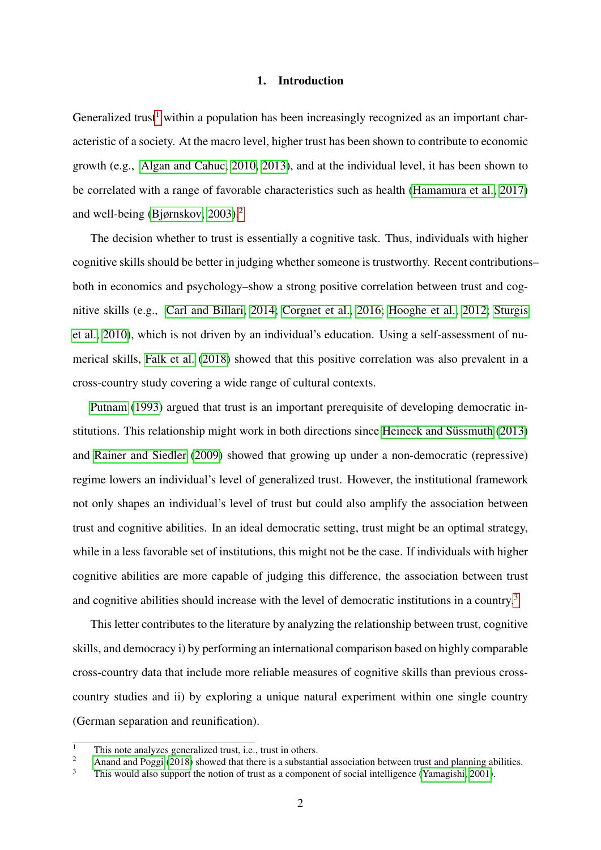#### 1. Introduction

Generalized trust<sup>[1](#page-1-0)</sup> within a population has been increasingly recognized as an important characteristic of a society. At the macro level, higher trust has been shown to contribute to economic growth (e.g., [Algan and Cahuc, 2010,](#page-9-0) [2013\)](#page-9-1), and at the individual level, it has been shown to be correlated with a range of favorable characteristics such as health [\(Hamamura et al., 2017\)](#page-9-2) and well-being [\(Bjørnskov, 2003\)](#page-9-3).<sup>[2](#page-1-1)</sup>

The decision whether to trust is essentially a cognitive task. Thus, individuals with higher cognitive skills should be better in judging whether someone is trustworthy. Recent contributions– both in economics and psychology–show a strong positive correlation between trust and cognitive skills (e.g., [Carl and Billari, 2014;](#page-9-4) [Corgnet et al., 2016;](#page-9-5) [Hooghe et al., 2012;](#page-9-6) [Sturgis](#page-9-7) [et al., 2010\)](#page-9-7), which is not driven by an individual's education. Using a self-assessment of numerical skills, [Falk et al.](#page-9-8) [\(2018\)](#page-9-8) showed that this positive correlation was also prevalent in a cross-country study covering a wide range of cultural contexts.

[Putnam](#page-9-9) [\(1993\)](#page-9-9) argued that trust is an important prerequisite of developing democratic in-stitutions. This relationship might work in both directions since Heineck and Süssmuth [\(2013\)](#page-9-10) and [Rainer and Siedler](#page-9-11) [\(2009\)](#page-9-11) showed that growing up under a non-democratic (repressive) regime lowers an individual's level of generalized trust. However, the institutional framework not only shapes an individual's level of trust but could also amplify the association between trust and cognitive abilities. In an ideal democratic setting, trust might be an optimal strategy, while in a less favorable set of institutions, this might not be the case. If individuals with higher cognitive abilities are more capable of judging this difference, the association between trust and cognitive abilities should increase with the level of democratic institutions in a country.[3](#page-1-2)

This letter contributes to the literature by analyzing the relationship between trust, cognitive skills, and democracy i) by performing an international comparison based on highly comparable cross-country data that include more reliable measures of cognitive skills than previous crosscountry studies and ii) by exploring a unique natural experiment within one single country (German separation and reunification).

<span id="page-1-0"></span> $\frac{1}{2}$  This note analyzes generalized trust, i.e., trust in others.

<span id="page-1-1"></span><sup>2</sup> [Anand and Poggi](#page-9-12) [\(2018\)](#page-9-12) showed that there is a substantial association between trust and planning abilities.<br>
This would also support the notion of trust as a someonent of social intelligence (*Nemesichi*: 2001)

<span id="page-1-2"></span>This would also support the notion of trust as a component of social intelligence [\(Yamagishi, 2001\)](#page-9-13).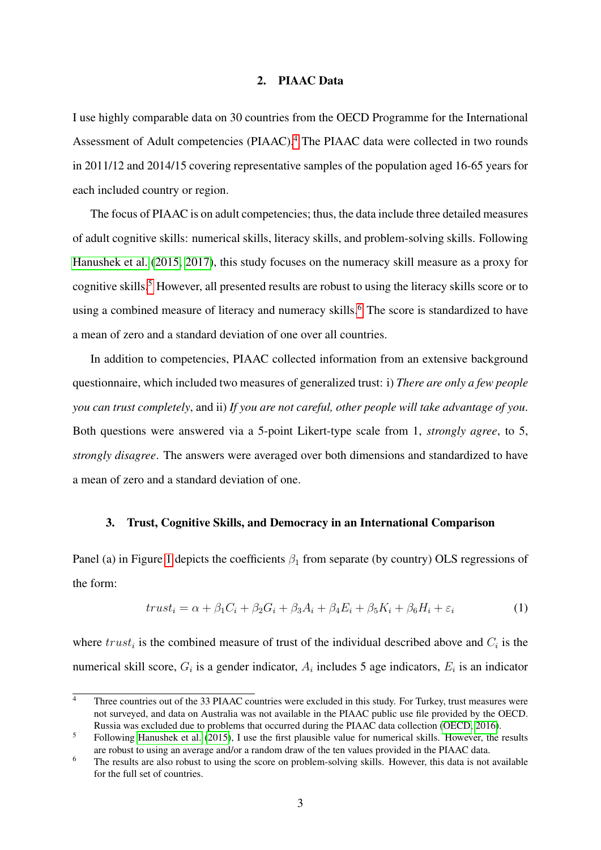### 2. PIAAC Data

I use highly comparable data on 30 countries from the OECD Programme for the International Assessment of Adult competencies (PIAAC).<sup>[4](#page-2-0)</sup> The PIAAC data were collected in two rounds in 2011/12 and 2014/15 covering representative samples of the population aged 16-65 years for each included country or region.

The focus of PIAAC is on adult competencies; thus, the data include three detailed measures of adult cognitive skills: numerical skills, literacy skills, and problem-solving skills. Following [Hanushek et al.](#page-9-14) [\(2015,](#page-9-14) [2017\)](#page-9-15), this study focuses on the numeracy skill measure as a proxy for cognitive skills.<sup>[5](#page-2-1)</sup> However, all presented results are robust to using the literacy skills score or to using a combined measure of literacy and numeracy skills.<sup>[6](#page-2-2)</sup> The score is standardized to have a mean of zero and a standard deviation of one over all countries.

In addition to competencies, PIAAC collected information from an extensive background questionnaire, which included two measures of generalized trust: i) *There are only a few people you can trust completely*, and ii) *If you are not careful, other people will take advantage of you*. Both questions were answered via a 5-point Likert-type scale from 1, *strongly agree*, to 5, *strongly disagree*. The answers were averaged over both dimensions and standardized to have a mean of zero and a standard deviation of one.

### 3. Trust, Cognitive Skills, and Democracy in an International Comparison

Panel (a) in Figure [1](#page-3-0) depicts the coefficients  $\beta_1$  from separate (by country) OLS regressions of the form:

<span id="page-2-3"></span>
$$
trust_i = \alpha + \beta_1 C_i + \beta_2 G_i + \beta_3 A_i + \beta_4 E_i + \beta_5 K_i + \beta_6 H_i + \varepsilon_i
$$
\n(1)

where  $trust_i$  is the combined measure of trust of the individual described above and  $C_i$  is the numerical skill score,  $G_i$  is a gender indicator,  $A_i$  includes 5 age indicators,  $E_i$  is an indicator

<span id="page-2-0"></span> $\overline{4}$  Three countries out of the 33 PIAAC countries were excluded in this study. For Turkey, trust measures were not surveyed, and data on Australia was not available in the PIAAC public use file provided by the OECD. Russia was excluded due to problems that occurred during the PIAAC data collection [\(OECD, 2016\)](#page-9-16).

<span id="page-2-1"></span><sup>&</sup>lt;sup>5</sup> Following [Hanushek et al.](#page-9-14) [\(2015\)](#page-9-14), I use the first plausible value for numerical skills. However, the results are robust to using an average and/or a random draw of the ten values provided in the PIAAC data.

<span id="page-2-2"></span><sup>&</sup>lt;sup>6</sup> The results are also robust to using the score on problem-solving skills. However, this data is not available for the full set of countries.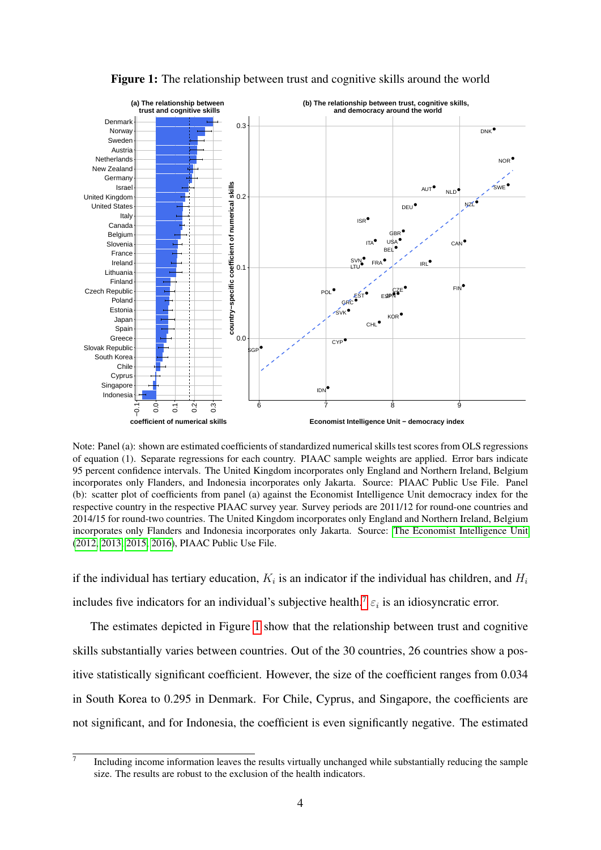<span id="page-3-0"></span>

Figure 1: The relationship between trust and cognitive skills around the world

Note: Panel (a): shown are estimated coefficients of standardized numerical skills test scores from OLS regressions of equation (1). Separate regressions for each country. PIAAC sample weights are applied. Error bars indicate 95 percent confidence intervals. The United Kingdom incorporates only England and Northern Ireland, Belgium incorporates only Flanders, and Indonesia incorporates only Jakarta. Source: PIAAC Public Use File. Panel (b): scatter plot of coefficients from panel (a) against the Economist Intelligence Unit democracy index for the respective country in the respective PIAAC survey year. Survey periods are 2011/12 for round-one countries and 2014/15 for round-two countries. The United Kingdom incorporates only England and Northern Ireland, Belgium incorporates only Flanders and Indonesia incorporates only Jakarta. Source: [The Economist Intelligence Unit](#page-9-17) [\(2012,](#page-9-17) [2013,](#page-9-18) [2015,](#page-9-19) [2016\)](#page-9-20), PIAAC Public Use File.

if the individual has tertiary education,  $K_i$  is an indicator if the individual has children, and  $H_i$ includes five indicators for an individual's subjective health.<sup>[7](#page-3-1)</sup>  $\varepsilon_i$  is an idiosyncratic error.

The estimates depicted in Figure [1](#page-3-0) show that the relationship between trust and cognitive skills substantially varies between countries. Out of the 30 countries, 26 countries show a positive statistically significant coefficient. However, the size of the coefficient ranges from 0.034 in South Korea to 0.295 in Denmark. For Chile, Cyprus, and Singapore, the coefficients are not significant, and for Indonesia, the coefficient is even significantly negative. The estimated

<span id="page-3-1"></span> $\overline{7}$ Including income information leaves the results virtually unchanged while substantially reducing the sample size. The results are robust to the exclusion of the health indicators.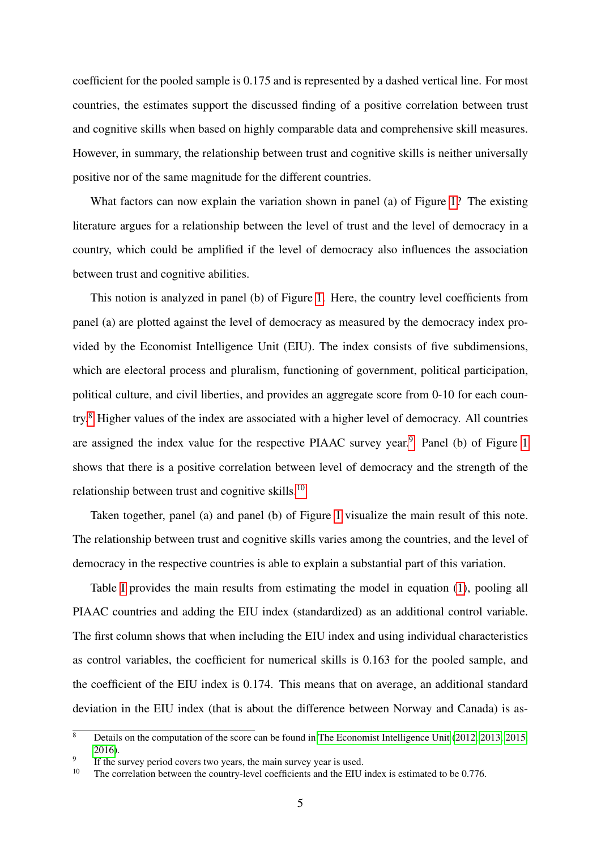coefficient for the pooled sample is 0.175 and is represented by a dashed vertical line. For most countries, the estimates support the discussed finding of a positive correlation between trust and cognitive skills when based on highly comparable data and comprehensive skill measures. However, in summary, the relationship between trust and cognitive skills is neither universally positive nor of the same magnitude for the different countries.

What factors can now explain the variation shown in panel (a) of Figure [1?](#page-3-0) The existing literature argues for a relationship between the level of trust and the level of democracy in a country, which could be amplified if the level of democracy also influences the association between trust and cognitive abilities.

This notion is analyzed in panel (b) of Figure [1.](#page-3-0) Here, the country level coefficients from panel (a) are plotted against the level of democracy as measured by the democracy index provided by the Economist Intelligence Unit (EIU). The index consists of five subdimensions, which are electoral process and pluralism, functioning of government, political participation, political culture, and civil liberties, and provides an aggregate score from 0-10 for each country.[8](#page-4-0) Higher values of the index are associated with a higher level of democracy. All countries are assigned the index value for the respective PIAAC survey year.<sup>[9](#page-4-1)</sup> Panel (b) of Figure [1](#page-3-0) shows that there is a positive correlation between level of democracy and the strength of the relationship between trust and cognitive skills.[10](#page-4-2)

Taken together, panel (a) and panel (b) of Figure [1](#page-3-0) visualize the main result of this note. The relationship between trust and cognitive skills varies among the countries, and the level of democracy in the respective countries is able to explain a substantial part of this variation.

Table [I](#page-5-0) provides the main results from estimating the model in equation [\(1\)](#page-2-3), pooling all PIAAC countries and adding the EIU index (standardized) as an additional control variable. The first column shows that when including the EIU index and using individual characteristics as control variables, the coefficient for numerical skills is 0.163 for the pooled sample, and the coefficient of the EIU index is 0.174. This means that on average, an additional standard deviation in the EIU index (that is about the difference between Norway and Canada) is as-

<span id="page-4-0"></span> $\overline{\text{8}}$  Details on the computation of the score can be found in [The Economist Intelligence Unit](#page-9-17) [\(2012,](#page-9-17) [2013,](#page-9-18) [2015,](#page-9-19) [2016\)](#page-9-20).

<span id="page-4-1"></span><sup>9</sup> If the survey period covers two years, the main survey year is used.

<span id="page-4-2"></span><sup>&</sup>lt;sup>10</sup> The correlation between the country-level coefficients and the EIU index is estimated to be 0.776.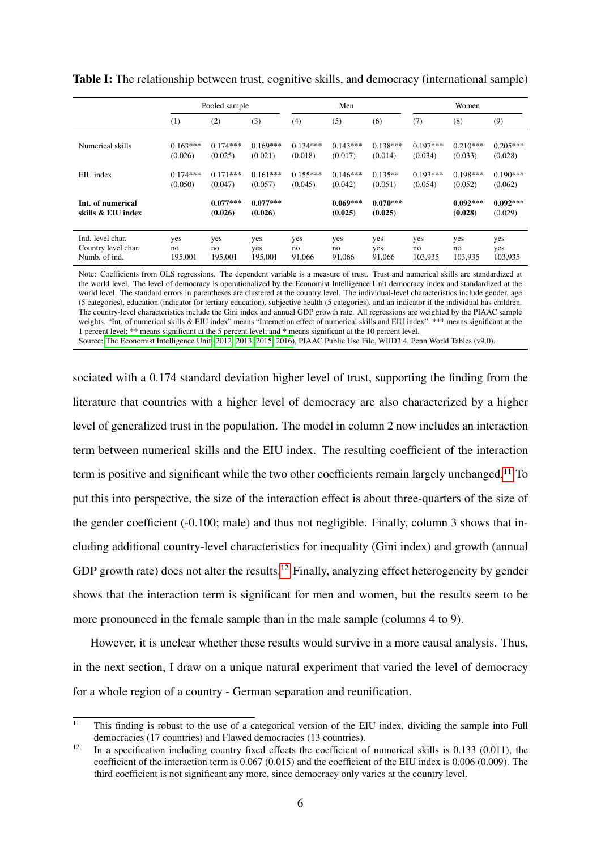<span id="page-5-0"></span>

|                                         | Pooled sample |                       |                       | Men        |                       |                       | Women      |                       |                       |
|-----------------------------------------|---------------|-----------------------|-----------------------|------------|-----------------------|-----------------------|------------|-----------------------|-----------------------|
|                                         | (1)           | (2)                   | (3)                   | (4)        | (5)                   | (6)                   | (7)        | (8)                   | (9)                   |
| Numerical skills                        | $0.163***$    | $0.174***$            | $0.169***$            | $0.134***$ | $0.143***$            | $0.138***$            | $0.197***$ | $0.210***$            | $0.205***$            |
|                                         | (0.026)       | (0.025)               | (0.021)               | (0.018)    | (0.017)               | (0.014)               | (0.034)    | (0.033)               | (0.028)               |
| EIU index                               | $0.174***$    | $0.171***$            | $0.161***$            | $0.155***$ | $0.146***$            | $0.135**$             | $0.193***$ | $0.198***$            | $0.190***$            |
|                                         | (0.050)       | (0.047)               | (0.057)               | (0.045)    | (0.042)               | (0.051)               | (0.054)    | (0.052)               | (0.062)               |
| Int. of numerical<br>skills & EIU index |               | $0.077***$<br>(0.026) | $0.077***$<br>(0.026) |            | $0.069***$<br>(0.025) | $0.070***$<br>(0.025) |            | $0.092***$<br>(0.028) | $0.092***$<br>(0.029) |
| Ind. level char.                        | yes           | yes                   | yes                   | yes        | yes                   | yes                   | yes        | yes                   | yes                   |
| Country level char.                     | no            | no                    | yes                   | no         | no                    | yes                   | no         | no                    | yes                   |
| Numb. of ind.                           | 195,001       | 195,001               | 195,001               | 91,066     | 91,066                | 91,066                | 103,935    | 103,935               | 103,935               |

Table I: The relationship between trust, cognitive skills, and democracy (international sample)

Note: Coefficients from OLS regressions. The dependent variable is a measure of trust. Trust and numerical skills are standardized at the world level. The level of democracy is operationalized by the Economist Intelligence Unit democracy index and standardized at the world level. The standard errors in parentheses are clustered at the country level. The individual-level characteristics include gender, age (5 categories), education (indicator for tertiary education), subjective health (5 categories), and an indicator if the individual has children. The country-level characteristics include the Gini index and annual GDP growth rate. All regressions are weighted by the PIAAC sample weights. "Int. of numerical skills & EIU index" means "Interaction effect of numerical skills and EIU index". \*\*\* means significant at the 1 percent level; \*\* means significant at the 5 percent level; and \* means significant at the 10 percent level. Source: [The Economist Intelligence Unit](#page-9-17) [\(2012,](#page-9-17) [2013,](#page-9-18) [2015,](#page-9-19) [2016\)](#page-9-20), PIAAC Public Use File, WIID3.4, Penn World Tables (v9.0).

sociated with a 0.174 standard deviation higher level of trust, supporting the finding from the literature that countries with a higher level of democracy are also characterized by a higher level of generalized trust in the population. The model in column 2 now includes an interaction term between numerical skills and the EIU index. The resulting coefficient of the interaction term is positive and significant while the two other coefficients remain largely unchanged.<sup>[11](#page-5-1)</sup> To put this into perspective, the size of the interaction effect is about three-quarters of the size of the gender coefficient (-0.100; male) and thus not negligible. Finally, column 3 shows that including additional country-level characteristics for inequality (Gini index) and growth (annual GDP growth rate) does not alter the results.<sup>[12](#page-5-2)</sup> Finally, analyzing effect heterogeneity by gender shows that the interaction term is significant for men and women, but the results seem to be more pronounced in the female sample than in the male sample (columns 4 to 9).

However, it is unclear whether these results would survive in a more causal analysis. Thus, in the next section, I draw on a unique natural experiment that varied the level of democracy for a whole region of a country - German separation and reunification.

<span id="page-5-1"></span> $\overline{11}$  This finding is robust to the use of a categorical version of the EIU index, dividing the sample into Full democracies (17 countries) and Flawed democracies (13 countries).

<span id="page-5-2"></span><sup>&</sup>lt;sup>12</sup> In a specification including country fixed effects the coefficient of numerical skills is 0.133 (0.011), the coefficient of the interaction term is 0.067 (0.015) and the coefficient of the EIU index is 0.006 (0.009). The third coefficient is not significant any more, since democracy only varies at the country level.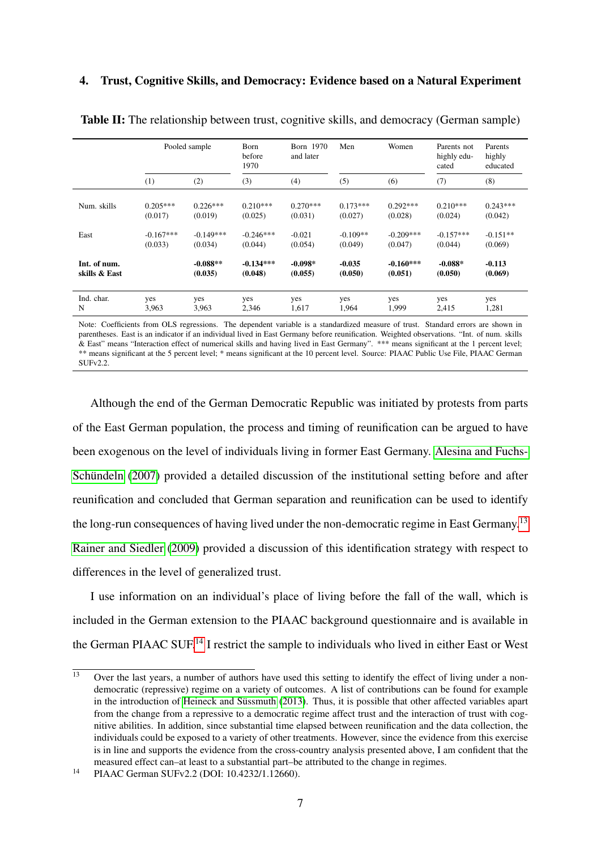### 4. Trust, Cognitive Skills, and Democracy: Evidence based on a Natural Experiment

<span id="page-6-2"></span>

|               | Pooled sample |             | Born 1970<br>Born<br>before<br>and later<br>1970 |            | Men<br>Women |             | Parents not<br>highly edu-<br>cated | Parents<br>highly<br>educated |
|---------------|---------------|-------------|--------------------------------------------------|------------|--------------|-------------|-------------------------------------|-------------------------------|
|               | (1)           | (2)         | (3)                                              | (4)        | (5)          | (6)         | (7)                                 | (8)                           |
| Num. skills   | $0.205***$    | $0.226***$  | $0.210***$                                       | $0.270***$ | $0.173***$   | $0.292***$  | $0.210***$                          | $0.243***$                    |
|               | (0.017)       | (0.019)     | (0.025)                                          | (0.031)    | (0.027)      | (0.028)     | (0.024)                             | (0.042)                       |
| East          | $-0.167***$   | $-0.149***$ | $-0.246***$                                      | $-0.021$   | $-0.109**$   | $-0.209***$ | $-0.157***$                         | $-0.151**$                    |
|               | (0.033)       | (0.034)     | (0.044)                                          | (0.054)    | (0.049)      | (0.047)     | (0.044)                             | (0.069)                       |
| Int. of num.  |               | $-0.088**$  | $-0.134***$                                      | $-0.098*$  | $-0.035$     | $-0.160***$ | $-0.088*$                           | $-0.113$                      |
| skills & East |               | (0.035)     | (0.048)                                          | (0.055)    | (0.050)      | (0.051)     | (0.050)                             | (0.069)                       |
| Ind. char.    | yes           | yes         | yes                                              | yes        | yes          | yes         | yes                                 | yes                           |
| N             | 3,963         | 3,963       | 2,346                                            | 1,617      | 1,964        | 1,999       | 2,415                               | 1,281                         |

Table II: The relationship between trust, cognitive skills, and democracy (German sample)

Note: Coefficients from OLS regressions. The dependent variable is a standardized measure of trust. Standard errors are shown in parentheses. East is an indicator if an individual lived in East Germany before reunification. Weighted observations. "Int. of num. skills & East" means "Interaction effect of numerical skills and having lived in East Germany". \*\*\* means significant at the 1 percent level; \*\* means significant at the 5 percent level; \* means significant at the 10 percent level. Source: PIAAC Public Use File, PIAAC German SUFv2.2

Although the end of the German Democratic Republic was initiated by protests from parts of the East German population, the process and timing of reunification can be argued to have been exogenous on the level of individuals living in former East Germany. [Alesina and Fuchs-](#page-9-21)Schündeln [\(2007\)](#page-9-21) provided a detailed discussion of the institutional setting before and after reunification and concluded that German separation and reunification can be used to identify the long-run consequences of having lived under the non-democratic regime in East Germany.<sup>[13](#page-6-0)</sup> [Rainer and Siedler](#page-9-11) [\(2009\)](#page-9-11) provided a discussion of this identification strategy with respect to differences in the level of generalized trust.

I use information on an individual's place of living before the fall of the wall, which is included in the German extension to the PIAAC background questionnaire and is available in the German PIAAC SUF.<sup>[14](#page-6-1)</sup> I restrict the sample to individuals who lived in either East or West

<span id="page-6-0"></span> $\overline{13}$  Over the last years, a number of authors have used this setting to identify the effect of living under a nondemocratic (repressive) regime on a variety of outcomes. A list of contributions can be found for example in the introduction of Heineck and Süssmuth [\(2013\)](#page-9-10). Thus, it is possible that other affected variables apart from the change from a repressive to a democratic regime affect trust and the interaction of trust with cognitive abilities. In addition, since substantial time elapsed between reunification and the data collection, the individuals could be exposed to a variety of other treatments. However, since the evidence from this exercise is in line and supports the evidence from the cross-country analysis presented above, I am confident that the measured effect can–at least to a substantial part–be attributed to the change in regimes.

<span id="page-6-1"></span><sup>14</sup> PIAAC German SUFv2.2 (DOI: 10.4232/1.12660).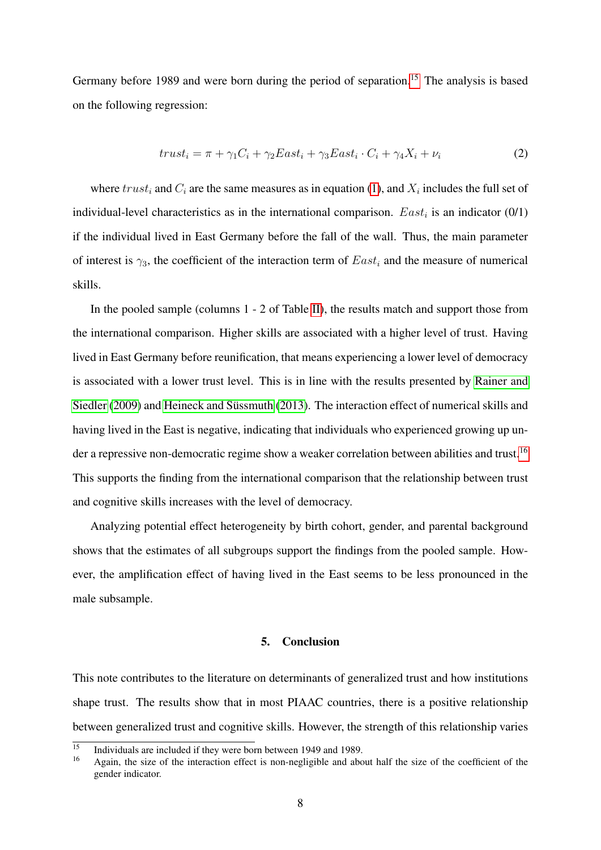Germany before 1989 and were born during the period of separation.<sup>[15](#page-7-0)</sup> The analysis is based on the following regression:

$$
trust_i = \pi + \gamma_1 C_i + \gamma_2 East_i + \gamma_3 East_i \cdot C_i + \gamma_4 X_i + \nu_i \tag{2}
$$

where  $trust_i$  and  $C_i$  are the same measures as in equation [\(1\)](#page-2-3), and  $X_i$  includes the full set of individual-level characteristics as in the international comparison.  $East<sub>i</sub>$  is an indicator (0/1) if the individual lived in East Germany before the fall of the wall. Thus, the main parameter of interest is  $\gamma_3$ , the coefficient of the interaction term of  $East_i$  and the measure of numerical skills.

In the pooled sample (columns 1 - 2 of Table [II\)](#page-6-2), the results match and support those from the international comparison. Higher skills are associated with a higher level of trust. Having lived in East Germany before reunification, that means experiencing a lower level of democracy is associated with a lower trust level. This is in line with the results presented by [Rainer and](#page-9-11) [Siedler](#page-9-11) [\(2009\)](#page-9-11) and Heineck and Süssmuth [\(2013\)](#page-9-10). The interaction effect of numerical skills and having lived in the East is negative, indicating that individuals who experienced growing up un-der a repressive non-democratic regime show a weaker correlation between abilities and trust.<sup>[16](#page-7-1)</sup> This supports the finding from the international comparison that the relationship between trust and cognitive skills increases with the level of democracy.

Analyzing potential effect heterogeneity by birth cohort, gender, and parental background shows that the estimates of all subgroups support the findings from the pooled sample. However, the amplification effect of having lived in the East seems to be less pronounced in the male subsample.

# 5. Conclusion

This note contributes to the literature on determinants of generalized trust and how institutions shape trust. The results show that in most PIAAC countries, there is a positive relationship between generalized trust and cognitive skills. However, the strength of this relationship varies

<span id="page-7-0"></span> $\frac{15}{15}$  Individuals are included if they were born between 1949 and 1989.

<span id="page-7-1"></span><sup>16</sup> Again, the size of the interaction effect is non-negligible and about half the size of the coefficient of the gender indicator.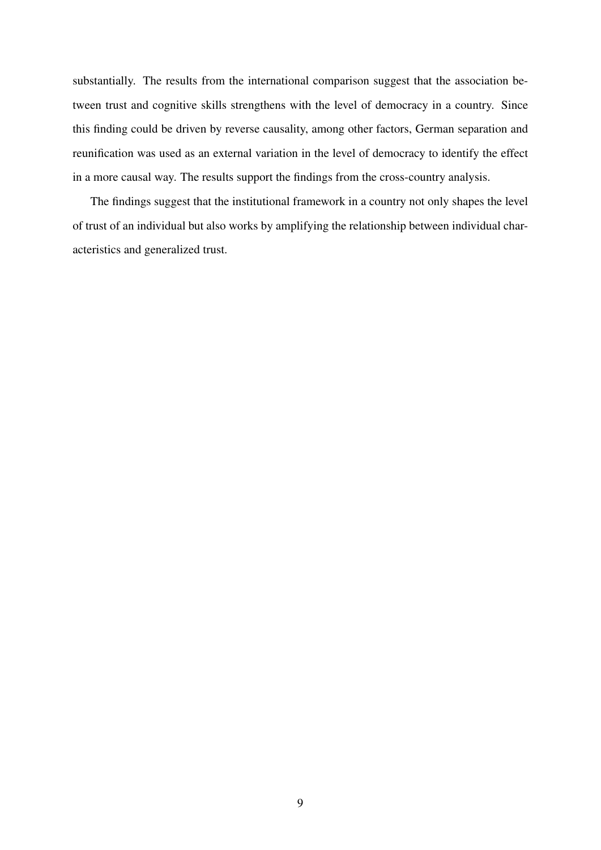substantially. The results from the international comparison suggest that the association between trust and cognitive skills strengthens with the level of democracy in a country. Since this finding could be driven by reverse causality, among other factors, German separation and reunification was used as an external variation in the level of democracy to identify the effect in a more causal way. The results support the findings from the cross-country analysis.

The findings suggest that the institutional framework in a country not only shapes the level of trust of an individual but also works by amplifying the relationship between individual characteristics and generalized trust.